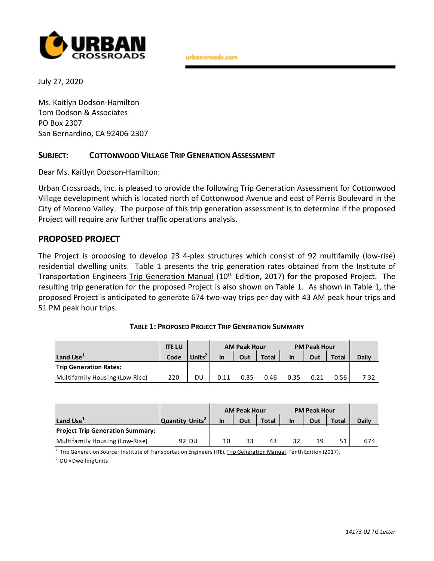

urbanxroads.com

July 27, 2020

Ms. Kaitlyn Dodson-Hamilton Tom Dodson & Associates PO Box 2307 San Bernardino, CA 92406-2307

## **SUBJECT: COTTONWOOD VILLAGE TRIP GENERATION ASSESSMENT**

Dear Ms. Kaitlyn Dodson-Hamilton:

Urban Crossroads, Inc. is pleased to provide the following Trip Generation Assessment for Cottonwood Village development which is located north of Cottonwood Avenue and east of Perris Boulevard in the City of Moreno Valley. The purpose of this trip generation assessment is to determine if the proposed Project will require any further traffic operations analysis.

## **PROPOSED PROJECT**

The Project is proposing to develop 23 4-plex structures which consist of 92 multifamily (low-rise) residential dwelling units. Table 1 presents the trip generation rates obtained from the Institute of Transportation Engineers Trip Generation Manual (10<sup>th</sup> Edition, 2017) for the proposed Project. The resulting trip generation for the proposed Project is also shown on Table 1. As shown in Table 1, the proposed Project is anticipated to generate 674 two-way trips per day with 43 AM peak hour trips and 51 PM peak hour trips.

|                                | <b>ITE LU</b> |                    | <b>AM Peak Hour</b> |      |              | <b>PM Peak Hour</b> |     |              |              |
|--------------------------------|---------------|--------------------|---------------------|------|--------------|---------------------|-----|--------------|--------------|
| Land Use <sup>+</sup>          | Code          | Units <sup>2</sup> | In                  | Out  | <b>Total</b> | <b>In</b>           | Out | <b>Total</b> | <b>Daily</b> |
| <b>Trip Generation Rates:</b>  |               |                    |                     |      |              |                     |     |              |              |
| Multifamily Housing (Low-Rise) | 220           | DU                 | 0.11                | በ 35 | 0.46         | 0.35                |     | 0.56         | 7.32         |

| TABLE 1: PROPOSED PROJECT TRIP GENERATION SUMMARY |  |
|---------------------------------------------------|--|
|---------------------------------------------------|--|

|                                         |                             | <b>AM Peak Hour</b> |     |              | <b>PM Peak Hour</b> |     |              |              |
|-----------------------------------------|-----------------------------|---------------------|-----|--------------|---------------------|-----|--------------|--------------|
| Land Use <sup>+</sup>                   | Quantity Units <sup>2</sup> | In                  | Out | <b>Total</b> | In                  | Out | <b>Total</b> | <b>Daily</b> |
| <b>Project Trip Generation Summary:</b> |                             |                     |     |              |                     |     |              |              |
| Multifamily Housing (Low-Rise)          | 92 DU                       | 10                  | 33  | 43           |                     | 19  | 51           | 674          |

<sup>1</sup> Trip Generation Source: Institute of Transportation Engineers (ITE), Trip Generation Manual, Tenth Edition (2017).

 $2$  DU = Dwelling Units